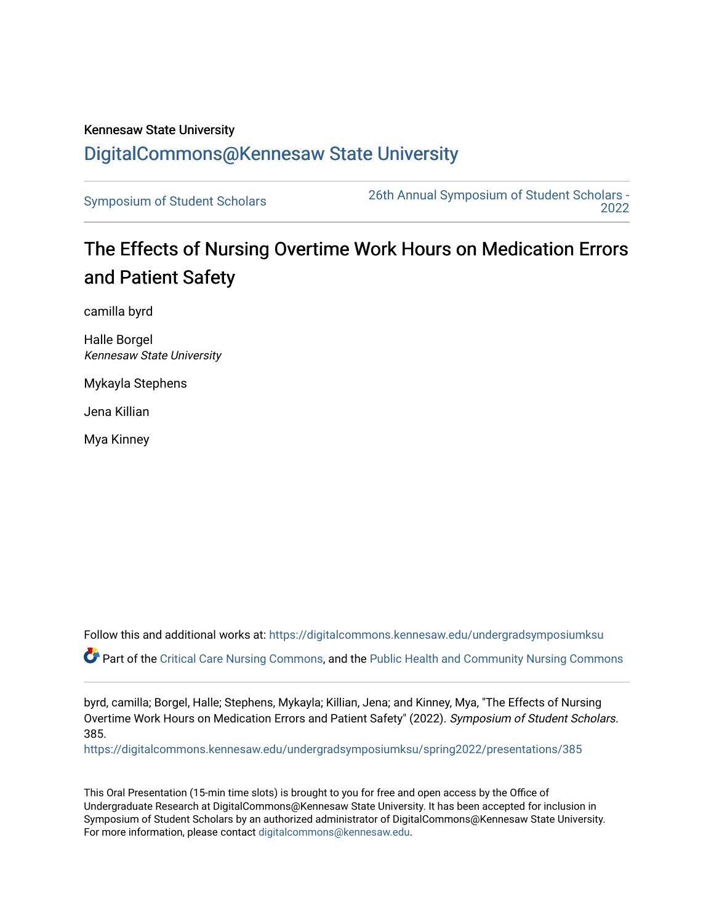## Kennesaw State University [DigitalCommons@Kennesaw State University](https://digitalcommons.kennesaw.edu/)

[Symposium of Student Scholars](https://digitalcommons.kennesaw.edu/undergradsymposiumksu) [26th Annual Symposium of Student Scholars -](https://digitalcommons.kennesaw.edu/undergradsymposiumksu/spring2022)  [2022](https://digitalcommons.kennesaw.edu/undergradsymposiumksu/spring2022) 

## The Effects of Nursing Overtime Work Hours on Medication Errors and Patient Safety

camilla byrd

Halle Borgel Kennesaw State University

Mykayla Stephens

Jena Killian

Mya Kinney

Follow this and additional works at: [https://digitalcommons.kennesaw.edu/undergradsymposiumksu](https://digitalcommons.kennesaw.edu/undergradsymposiumksu?utm_source=digitalcommons.kennesaw.edu%2Fundergradsymposiumksu%2Fspring2022%2Fpresentations%2F385&utm_medium=PDF&utm_campaign=PDFCoverPages) 

Part of the [Critical Care Nursing Commons](http://network.bepress.com/hgg/discipline/727?utm_source=digitalcommons.kennesaw.edu%2Fundergradsymposiumksu%2Fspring2022%2Fpresentations%2F385&utm_medium=PDF&utm_campaign=PDFCoverPages), and the [Public Health and Community Nursing Commons](http://network.bepress.com/hgg/discipline/725?utm_source=digitalcommons.kennesaw.edu%2Fundergradsymposiumksu%2Fspring2022%2Fpresentations%2F385&utm_medium=PDF&utm_campaign=PDFCoverPages) 

byrd, camilla; Borgel, Halle; Stephens, Mykayla; Killian, Jena; and Kinney, Mya, "The Effects of Nursing Overtime Work Hours on Medication Errors and Patient Safety" (2022). Symposium of Student Scholars. 385.

[https://digitalcommons.kennesaw.edu/undergradsymposiumksu/spring2022/presentations/385](https://digitalcommons.kennesaw.edu/undergradsymposiumksu/spring2022/presentations/385?utm_source=digitalcommons.kennesaw.edu%2Fundergradsymposiumksu%2Fspring2022%2Fpresentations%2F385&utm_medium=PDF&utm_campaign=PDFCoverPages)

This Oral Presentation (15-min time slots) is brought to you for free and open access by the Office of Undergraduate Research at DigitalCommons@Kennesaw State University. It has been accepted for inclusion in Symposium of Student Scholars by an authorized administrator of DigitalCommons@Kennesaw State University. For more information, please contact [digitalcommons@kennesaw.edu.](mailto:digitalcommons@kennesaw.edu)